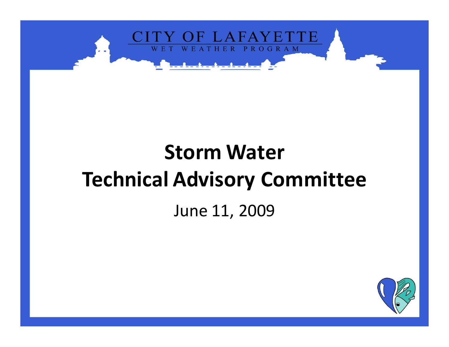

# **Storm Water Technical Advisory Committee**

#### June 11, 2009

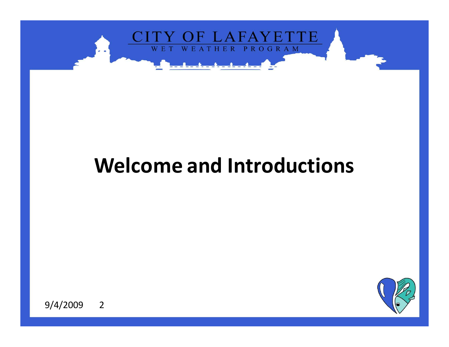

#### **Welcome and Introductions**

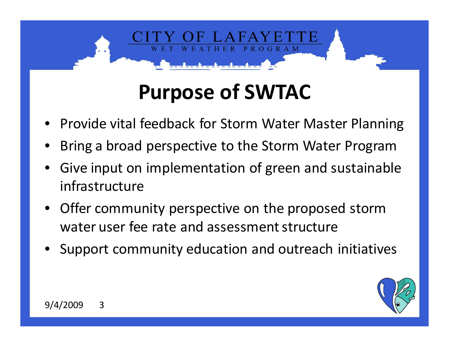# **Purpose of SWTAC**

**ROGRAM** 

- •Provide vital feedback for Storm Water Master Planning
- •Bring a broad perspective to the Storm Water Program
- Give input on implementation of green and sustainable •infrastructure
- • Offer community perspective on the proposed storm water user fee rate and assessment structure
- •**•** Support community education and outreach initiatives

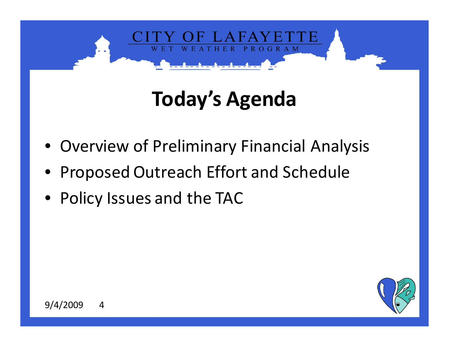

# **Today's Agenda**

- Overview of Preliminary Financial Analysis
- Proposed Outreach Effort and Schedule
- Policy Issues and the TAC

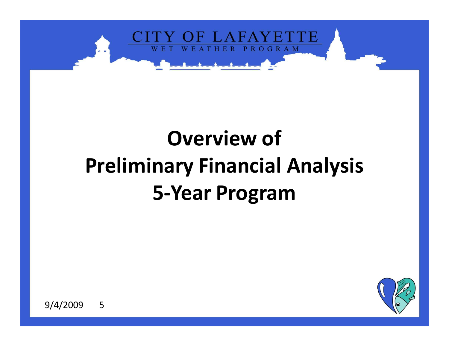

# **Overview ofPreliminary Financial Analysis5-Year Program**

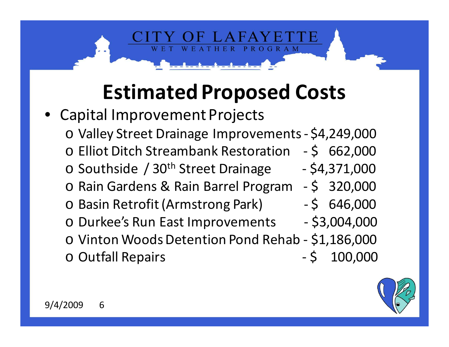# **Estimated Proposed Costs**

**PROGRAM** 

• Capital Improvement Projectso Valley Street Drainage Improvements - \$4,249,000 o Elliot Ditch Streambank Restoration - \$ 662,000 oo Southside / 30<sup>th</sup> Street Drainage - \$4,371,000 o Rain Gardens & Rain Barrel Program - \$ 320,000 o Basin Retrofit (Armstrong Park) - \$ 646,000 o Durkee's Run East Improvements - \$3,004,000 o Vinton Woods Detention Pond Rehab - \$1,186,000 o Outfall Repairs - \$ 100,000

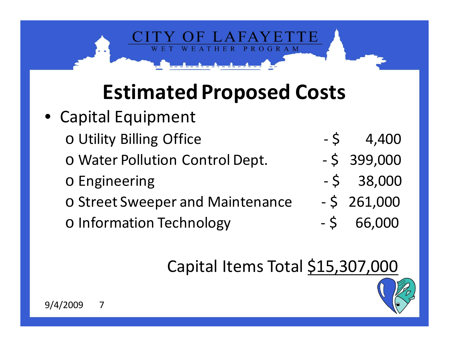# **Estimated Proposed Costs**

**PROGRAM** 

• Capital Equipment oo Utility Billing Office **- \$** 4,400 oo Water Pollution Control Dept. - \$ 399,000 oo Engineering - \$ 38,000 oo Street Sweeper and Maintenance  $-$  \$ 261,000 oo Information Technology - \$ 66,000

#### Capital Items Total \$15,307,000

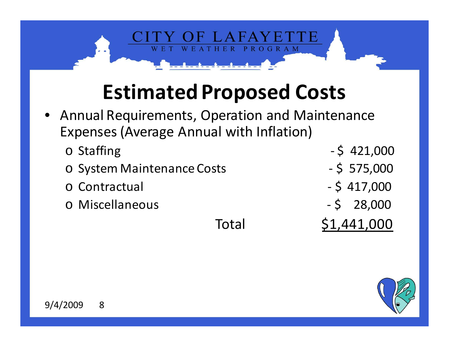## **Estimated Proposed Costs**

ER.

PROGRAM

- • Annual Requirements, Operation and Maintenance Expenses (Average Annual with Inflation)
	- o Staffing - \$421,000<br>- \$575,000 o System Maintenance Costs - \$ 575,000 o Contractual  $-$  \$ 417,000<br> $-$  \$ 28,000 o Miscellaneous - \$ 28,000 Total \$1,441,000

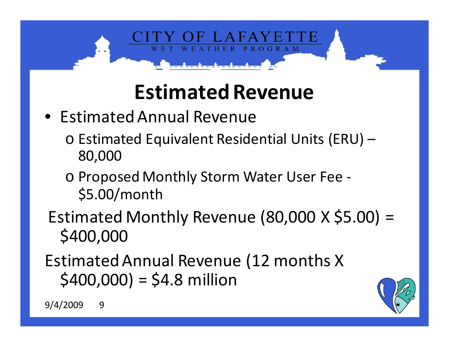

# **Estimated Revenue**

- Estimated Annual Revenue
	- o Estimated Equivalent Residential Units (ERU) 80,000
	- o Proposed Monthly Storm Water User Fee \$5.00/month
- Estimated Monthly Revenue (80,000 X \$5.00) = \$400,000
- Estimated Annual Revenue (12 months X  $$400,000$ ) = \$4.8 million

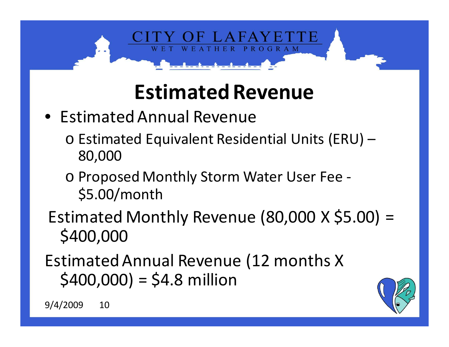

# **Estimated Revenue**

- Estimated Annual Revenue
	- o Estimated Equivalent Residential Units (ERU) 80,000
	- o Proposed Monthly Storm Water User Fee \$5.00/month
- Estimated Monthly Revenue (80,000 X \$5.00) = \$400,000
- Estimated Annual Revenue (12 months X  $$400,000$ ) = \$4.8 million

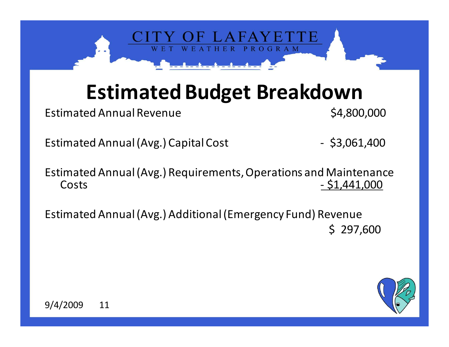

### **Estimated Budget Breakdown**

Estimated Annual Revenue **\$4,800,000** 

Estimated Annual (Avg.) Capital Cost - \$3,061,400

Estimated Annual (Avg.) Requirements, Operations and Maintenance Costs- \$1,441,000

Estimated Annual (Avg.) Additional (Emergency Fund) Revenue\$ 297,600

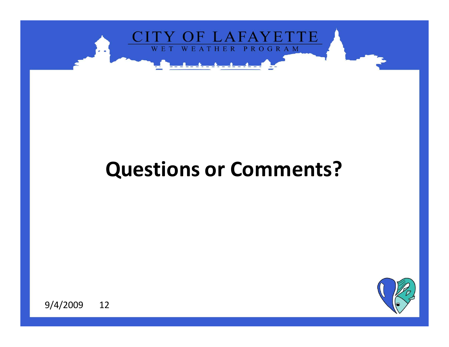

#### **Questions or Comments?**

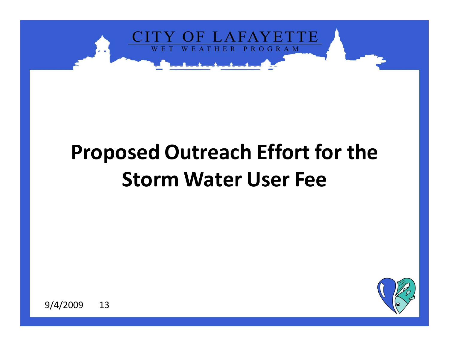

# **Proposed Outreach Effort for the Storm Water User Fee**

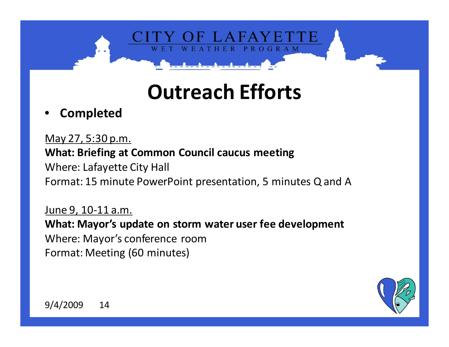PROGRAM

#### •**Completed**

May 27, 5:30 p.m.**What: Briefing at Common Council caucus meeting**Where: Lafayette City HallFormat: 15 minute PowerPoint presentation, 5 minutes Q and A

June 9, 10-11 a.m. **What: Mayor's update on storm water user fee development**Where: Mayor's conference roomFormat: Meeting (60 minutes)

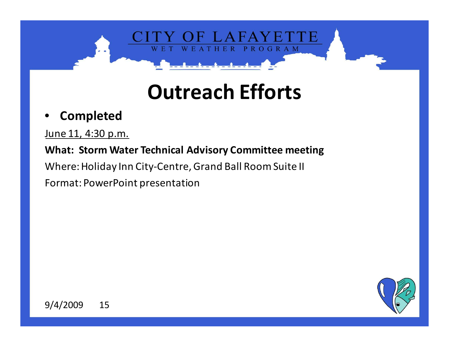E R

PROGRAM

#### •**Completed**

June 11, 4:30 p.m.

#### **What: Storm Water Technical Advisory Committee meeting**

Where: Holiday Inn City-Centre, Grand Ball Room Suite II

Format: PowerPoint presentation

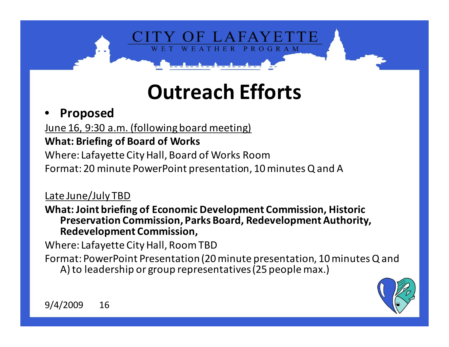HER

PROGRAM

#### •**Proposed**

June 16, 9:30 a.m. (following board meeting)

#### **What: Briefing of Board of Works**

Where: Lafayette City Hall, Board of Works Room

Format: 20 minute PowerPoint presentation, 10 minutes Q and A

#### Late June/July TBD

 **What: Joint briefing of Economic Development Commission, Historic Preservation Commission, Parks Board, Redevelopment Authority, Redevelopment Commission,** 

Where: Lafayette City Hall, Room TBD

 Format: PowerPoint Presentation (20 minute presentation, 10 minutes Q and A) to leadership or group representatives (25 people max.)

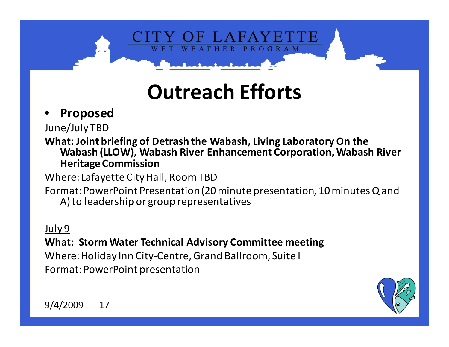HER

PROGRAM

#### •**Proposed**

June/July TBD

 **What: Joint briefing of Detrash the Wabash, Living Laboratory On the Wabash (LLOW), Wabash River Enhancement Corporation, Wabash River Heritage Commission**

Where: Lafayette City Hall, Room TBD

 Format: PowerPoint Presentation (20 minute presentation, 10 minutes Q and A) to leadership or group representatives

#### July 9

 **What: Storm Water Technical Advisory Committee meeting**Where: Holiday Inn City-Centre, Grand Ballroom, Suite IFormat: PowerPoint presentation

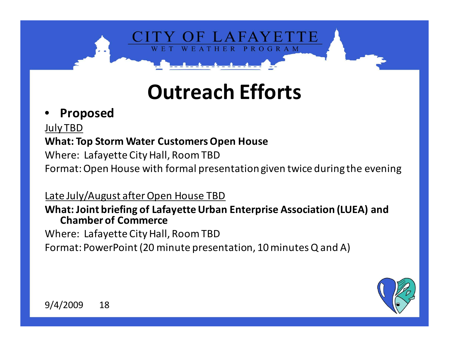PROGRAM

#### •**Proposed**

July TBD **What: Top Storm Water Customers Open House**Where: Lafayette City Hall, Room TBDFormat: Open House with formal presentation given twice during the evening

Late July/August after Open House TBD **What: Joint briefing of Lafayette Urban Enterprise Association (LUEA) and Chamber of Commerce** Where: Lafayette City Hall, Room TBDFormat: PowerPoint (20 minute presentation, 10 minutes Q and A)

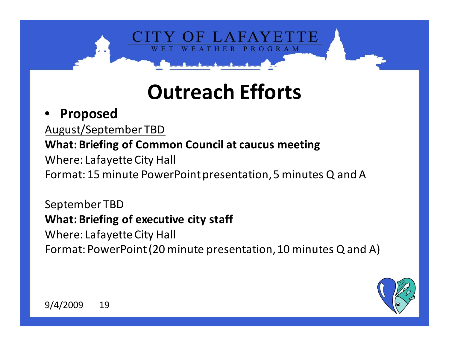PROGRAM

#### •**Proposed**

 August/September TBD **What: Briefing of Common Council at caucus meeting**Where: Lafayette City HallFormat: 15 minute PowerPoint presentation, 5 minutes Q and A

September TBD **What: Briefing of executive city staff**Where: Lafayette City HallFormat: PowerPoint (20 minute presentation, 10 minutes Q and A)

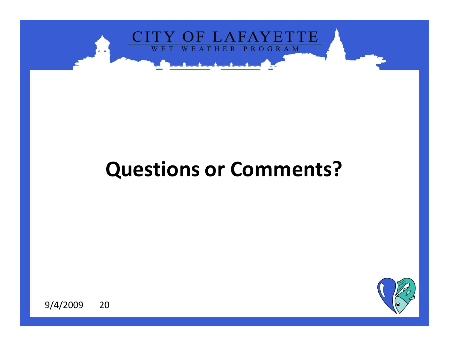

#### **Questions or Comments?**

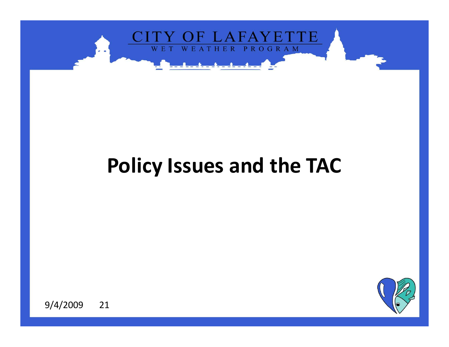

#### **Policy Issues and the TAC**

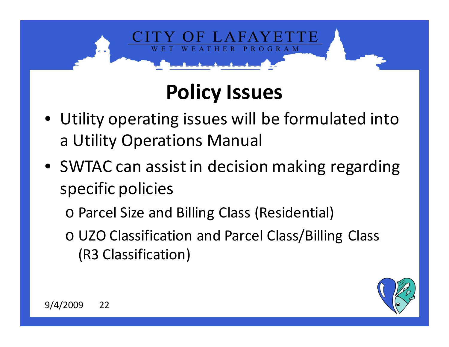# **Policy Issues**

**ROGRAM** 

- Utility operating issues will be formulated into a Utility Operations Manual
- SWTAC can assist in decision making regarding specific policies

o Parcel Size and Billing Class (Residential)

o UZO Classification and Parcel Class/Billing Class (R3 Classification)

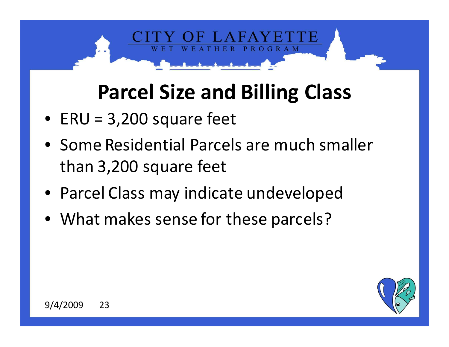## **Parcel Size and Billing Class**

**ROGRAM** 

- ERU = 3,200 square feet
- Some Residential Parcels are much smaller than 3,200 square feet
- Parcel Class may indicate undeveloped
- What makes sense for these parcels?

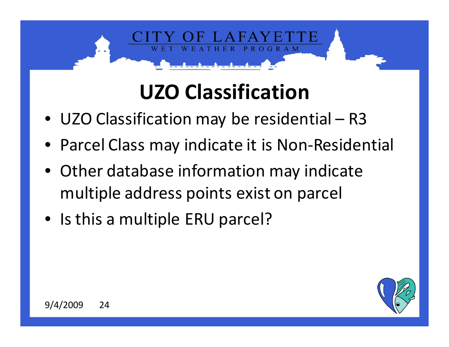# **UZO Classification**

**ROGRAM** 

- UZO Classification may be residential R3
- Parcel Class may indicate it is Non-Residential
- Other database information may indicate multiple address points exist on parcel
- Is this a multiple ERU parcel?

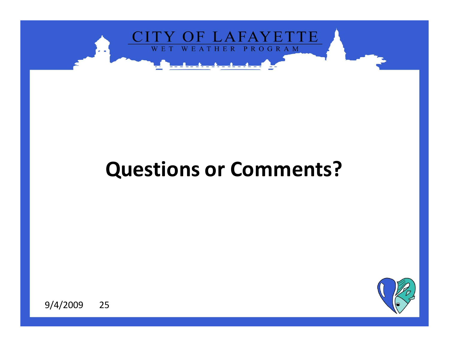

#### **Questions or Comments?**

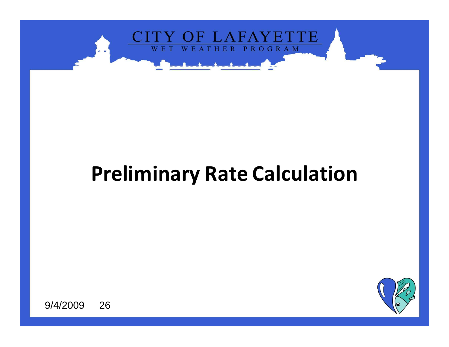

### **Preliminary Rate Calculation**

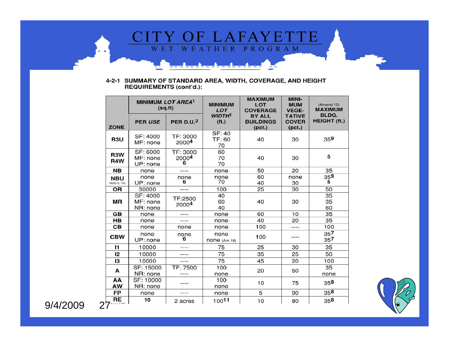

#### 4-2-1 SUMMARY OF STANDARD AREA, WIDTH, COVERAGE, AND HEIGHT<br>REQUIREMENTS (cont'd.):

|                           | MINIMUM LOT AREA <sup>1</sup><br>(sq.fit) |                              | <b>MINIMUM</b><br>LOT             | <b>MAXIMUM</b><br>LOT<br><b>COVERAGE</b>    | MINI-<br><b>MUM</b><br><b>VEGE-</b>     | (Amend 10)<br><b>MAXIMUM</b> |
|---------------------------|-------------------------------------------|------------------------------|-----------------------------------|---------------------------------------------|-----------------------------------------|------------------------------|
| <b>ZONE</b>               | <b>PER USE</b>                            | <b>PER D.U.</b> <sup>2</sup> | <b>WIDTH<sup>1</sup></b><br>(ft.) | <b>BY ALL</b><br><b>BUILDINGS</b><br>(pct.) | <b>TATIVE</b><br><b>COVER</b><br>(pct.) | BLDG.<br><b>HEIGHT (ft.)</b> |
| R3U                       | SF: 4000<br>MF: none                      | TF: 3000<br>20004            | SF: 40<br>TF: 60<br>70            | 40                                          | 30                                      | 359                          |
| R3W<br>R4W                | SF: 6000<br>MF: none<br>UP: none          | TF: 3000<br>20004<br>6       | 60<br>70<br>70                    | 40                                          | 30                                      | 5                            |
| <b>NB</b>                 | none                                      | ----                         | none                              | 50                                          | 20                                      | 35                           |
| <b>NBU</b><br>(Ams 5, 10) | none<br>UP: none                          | none<br>6                    | none<br>70                        | 60<br>40                                    | none<br>30                              | 359<br>5                     |
| OR                        | 30000                                     | ----                         | 100                               | 25                                          | 30                                      | 50                           |
| MR                        | SF: 4000<br>MF: none<br>NR: none          | TF:2500<br>20004             | 40<br>60<br>40                    | 40                                          | 30                                      | 35<br>35<br>60               |
| <b>GB</b>                 | none                                      |                              | none                              | 60                                          | 10                                      | 35                           |
| HB                        | none                                      | ----                         | none                              | 40                                          | 20                                      | 35                           |
| CВ                        | none                                      | none                         | none                              | 100                                         | ----                                    | 100                          |
| <b>CBW</b>                | none<br>UP: none                          | none<br>6                    | none<br><b>NONE</b> (Am 18)       | 100                                         | ----                                    | 357<br>357                   |
| $\mathsf{I}$              | 10000                                     | ----                         | 75                                | 25                                          | 30                                      | 35                           |
| 12                        | 10000                                     |                              | 75                                | 35                                          | 25                                      | 50                           |
| 13                        | 10000                                     | $- - - -$                    | 75                                | 45                                          | 20                                      | 100                          |
| A                         | SF: 15000<br>NR: none                     | TF: 7500                     | 100<br>none                       | 20                                          | 50                                      | 35<br>none                   |
| ΑА<br>AW                  | SF: 10000<br>NR: none                     | ----                         | 100<br>none                       | 10                                          | 75                                      | 358                          |
| FP                        | none                                      | ----                         | none                              | 5                                           | 90                                      | 358                          |
| <b>RE</b><br>$7$ Amond 27 | 10                                        | 2 acres                      | 10011                             | 10                                          | 80                                      | 358                          |

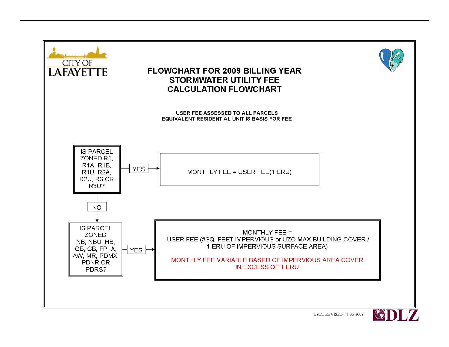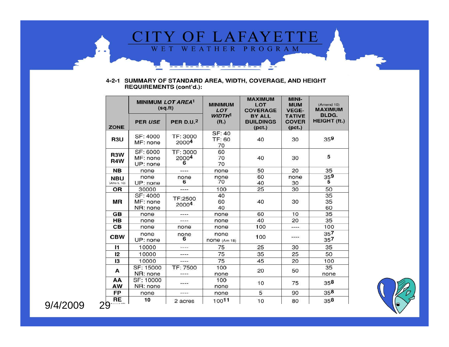

#### 4-2-1 SUMMARY OF STANDARD AREA, WIDTH, COVERAGE, AND HEIGHT<br>REQUIREMENTS (cont'd.):

|                                              | MINIMUM LOT AREA <sup>1</sup><br>(sq.fit) |                             | <b>MINIMUM</b><br>LOT             | <b>MAXIMUM</b><br>LOT<br><b>COVERAGE</b>    | MINI-<br><b>MUM</b><br><b>VEGE-</b>     | (Amend 10)<br><b>MAXIMUM</b> |
|----------------------------------------------|-------------------------------------------|-----------------------------|-----------------------------------|---------------------------------------------|-----------------------------------------|------------------------------|
| <b>ZONE</b>                                  | <b>PER USE</b>                            | <b>PER D.U.<sup>2</sup></b> | <b>WIDTH<sup>1</sup></b><br>(ft.) | <b>BY ALL</b><br><b>BUILDINGS</b><br>(pct.) | <b>TATIVE</b><br><b>COVER</b><br>(pct.) | BLDG.<br><b>HEIGHT (ft.)</b> |
| R <sub>3</sub> U                             | SF: 4000<br>MF: none                      | TF: 3000<br>20004           | <b>SF: 40</b><br>TF: 60<br>70     | 40                                          | 30                                      | 359                          |
| R3W<br>R4W                                   | SF: 6000<br>MF: none<br>UP: none          | TF: 3000<br>20004<br>6      | 60<br>70<br>70                    | 40                                          | 30                                      | 5                            |
| <b>NB</b>                                    | none                                      | ----                        | none                              | 50                                          | 20                                      | 35                           |
| <b>NBU</b><br>(Ams 5, 10)                    | none<br>UP: none                          | none<br>6                   | none<br>70                        | 60<br>40                                    | none<br>30                              | 359<br>5                     |
| OR                                           | 30000                                     | ----                        | 100                               | 25                                          | 30                                      | 50                           |
| <b>MR</b>                                    | SF: 4000<br>MF: none<br>NR: none          | TF:2500<br>20004            | 40<br>60<br>40                    | 40                                          | 30                                      | 35<br>35<br>60               |
| <b>GB</b>                                    | none                                      | ----                        | none                              | 60                                          | 10                                      | 35                           |
| HB                                           | none                                      | ----                        | none                              | 40                                          | 20                                      | 35                           |
| CВ                                           | none                                      | none                        | none                              | 100                                         | ----                                    | 100                          |
| <b>CBW</b>                                   | none<br>UP: none                          | none<br>6                   | none<br>$none$ (Am 18)            | 100                                         | ----                                    | 357<br>357                   |
| $\mathbf{I}$                                 | 10000                                     | ----                        | 75                                | 25                                          | 30                                      | 35                           |
| 12                                           | 10000                                     | ----                        | 75                                | 35                                          | 25                                      | 50                           |
| 13                                           | 10000                                     | ----                        | 75                                | 45                                          | 20                                      | 100                          |
| A                                            | SF: 15000<br>NR: none                     | TF: 7500                    | 100<br>none                       | 20                                          | 50                                      | 35<br>none                   |
| AA<br>AW                                     | SF: 10000<br>NR: none                     | ----                        | 100<br>none                       | 10                                          | 75                                      | 358                          |
| FP                                           | none                                      | ----                        | none                              | 5                                           | 90                                      | 358                          |
| <b>RE</b><br>$\bigcap_{\Delta \text{model}}$ | 10                                        | 2 acres                     | 10011                             | 10                                          | 80                                      | 358                          |

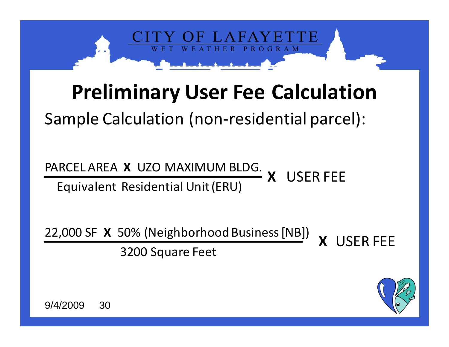

### **Preliminary User Fee Calculation**

Sample Calculation (non-residential parcel):

PARCEL AREA **X** UZO MAXIMUM BLDG. Equivalent Residential Unit (ERU)**X**USER FEE

22,000 SF **X** 50% (Neighborhood Business [NB]) 3200 Square Feet**X** USER FEE

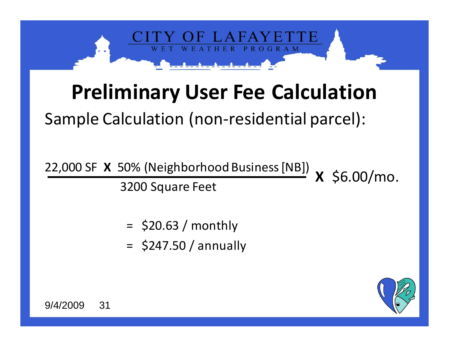

### **Preliminary User Fee Calculation**

Sample Calculation (non-residential parcel):

22,000 SF **X** 50% (Neighborhood Business [NB]) 3200 Square Feet**X** \$6.00/mo.

- $=$  \$20.63 / monthly
- $=$  \$247.50 / annually

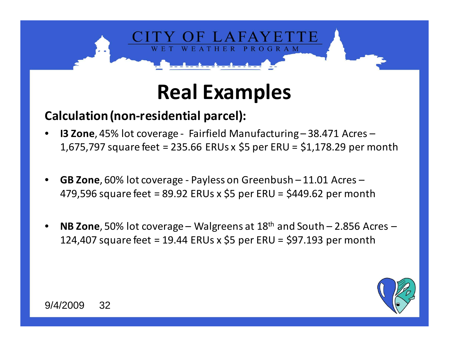

## **Real Examples**

#### **Calculation (non-residential parcel):**

- • **I3 Zone**, 45% lot coverage - Fairfield Manufacturing – 38.471 Acres – 1,675,797 square feet = 235.66 ERUs x \$5 per ERU = \$1,178.29 per month
- • **GB Zone**, 60% lot coverage - Payless on Greenbush – 11.01 Acres – 479,596 square feet = 89.92 ERUs x \$5 per ERU = \$449.62 per month
- • **NB Zone**, 50% lot coverage – Walgreens at 18th and South – 2.856 Acres – 124,407 square feet = 19.44 ERUs x \$5 per ERU = \$97.193 per month